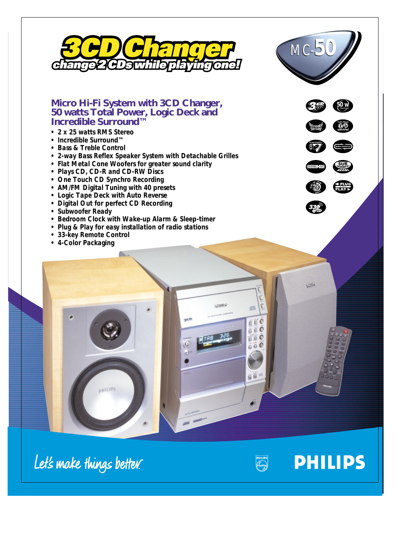



*50 w*

<mark>⊂ PLUC</mark><br>PLAY P

**PHILIPS** 

# **Micro Hi-Fi System with 3CD Changer, 50 watts Total Power, Logic Deck and Incredible Surround™**

- *2 x 25 watts RMS Stereo*
- *Incredible Surround™*
- *Bass & Treble Control*
- *2-way Bass Reflex Speaker System with Detachable Grilles*
- *Flat Metal Cone Woofers for greater sound clarity*
- *Plays CD, CD-R and CD-RW Discs*
- *One Touch CD Synchro Recording*
- *AM/FM Digital Tuning with 40 presets*
- *Logic Tape Deck with Auto Reverse*
- *Digital Out for perfect CD Recording*
- *Subwoofer Ready*
- *Bedroom Clock with Wake-up Alarm & Sleep-timer*
- *Plug & Play for easy installation of radio stations*
- *33-key Remote Control*
- *4-Color Packaging*